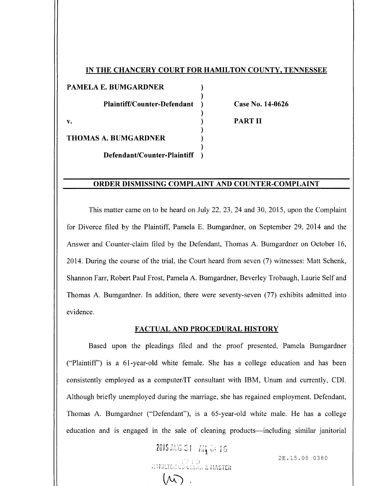## IN THE CHANCERY COURT FOR HAMILTON COUNTY, TENNESSEE

ſ

PAMELA E. BUMGARDNER Plaintiff/Counter-Defendant v.

Case No. 14-0626

PART II

THOMAS A. BUMGARDNER

Defendant/Counter-Plaintiff

## ORDER DISMISSING COMPLAINT AND COUNTER -COMPLAINT

This matter came on to be heard on July 22, 23, 24 and 30, 2015, upon the Complaint for Divorce filed by the Plaintiff, Pamela E. Bumgardner, on September 29, 2014 and the Answer and Counter -claim filed by the Defendant, Thomas A. Bumgardner on October 16, 2014. During the course of the trial, the Court heard from seven ( 7) witnesses: Matt Schenk, Shannon Farr, Robert Paul Frost, Pamela A. Bumgardner, Beverley Trobaugh, Laurie Self and Thomas A. Bumgardner. In addition, there were seventy-seven (77) exhibits admitted into evidence.

#### FACTUAL AND PROCEDURAL HISTORY

Based upon the pleadings filed and the proof presented, Pamela Bumgardner Plaintiff') is a 61 -year- old white female. She has <sup>a</sup> college education and has been consistently employed as <sup>a</sup> computer/IT consultant with IBM, Unum and currently, CDI. Although briefly unemployed during the marriage, she has regained employment. Defendant, Thomas A. Bumgardner ("Defendant"), is a 65-year-old white male. He has a college education and is engaged in the sale of cleaning products— including similar janitorial

PIASTER

 $2015$  AUG 31  $\circ$  Ai $\frac{1}{4}$  Of 16

 $\widehat{\mathcal{M}}$ 

2E. 15. 08 0380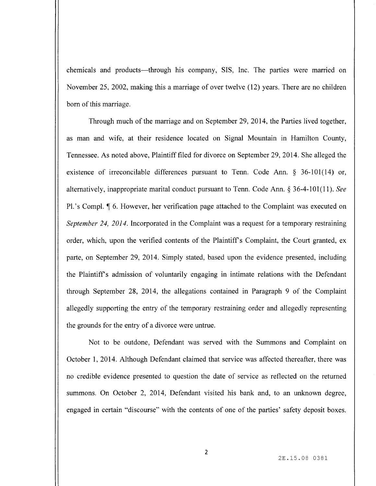chemicals and products— through his company, SIS, Inc. The parties were married on November 25, 2002, making this <sup>a</sup> marriage of over twelve ( 12) years. There are no children born of this marriage.

Through much of the marriage and on September 29, 2014, the Parties lived together, as man and wife, at their residence located on Signal Mountain in Hamilton County, Tennessee. As noted above, Plaintiff filed for divorce on September 29, 2014. She alleged the existence of irreconcilable differences pursuant to Tenn. Code Ann. § 36-101(14) or, alternatively, inappropriate marital conduct pursuant to Tenn. Code Ann.  $\S 36-4-101(11)$ . See Pl.'s Compl. ¶ 6. However, her verification page attached to the Complaint was executed on September 24, 2014. Incorporated in the Complaint was a request for a temporary restraining order, which, upon the verified contents of the Plaintiff's Complaint, the Court granted, ex parte, on September 29, 2014. Simply stated, based upon the evidence presented, including the Plaintiff's admission of voluntarily engaging in intimate relations with the Defendant through September 28, 2014, the allegations contained in Paragraph 9 of the Complaint allegedly supporting the entry of the temporary restraining order and allegedly representing the grounds for the entry of a divorce were untrue.

Not to be outdone, Defendant was served with the Summons and Complaint on October 1, 2014. Although Defendant claimed that service was affected thereafter, there was no credible evidence presented to question the date of service as reflected on the returned summons. On October 2, 2014, Defendant visited his bank and, to an unknown degree, engaged in certain "discourse" with the contents of one of the parties' safety deposit boxes.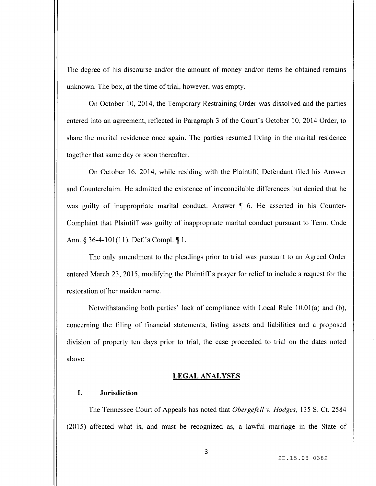The degree of his discourse and/or the amount of money and/or items he obtained remains unknown. The box, at the time of trial, however, was empty.

On October 10, 2014, the Temporary Restraining Order was dissolved and the parties entered into an agreement, reflected in Paragraph 3 of the Court's October 10, 2014 Order, to share the marital residence once again. The parties resumed living in the marital residence together that same day or soon thereafter.

On October 16, 2014, while residing with the Plaintiff, Defendant filed his Answer and Counterclaim. He admitted the existence of irreconcilable differences but denied that he was guilty of inappropriate marital conduct. Answer  $\parallel$  6. He asserted in his Counter-Complaint that Plaintiff was guilty of inappropriate marital conduct pursuant to Tenn. Code Ann. § 36-4-101(11). Def.'s Compl.  $\P$ 1.

The only amendment to the pleadings prior to trial was pursuant to an Agreed Order entered March 23, 2015, modifying the Plaintiff's prayer for relief to include a request for the restoration of her maiden name.

Notwithstanding both parties' lack of compliance with Local Rule  $10.01(a)$  and (b), concerning the filing of financial statements, listing assets and liabilities and a proposed division of property ten days prior to trial, the case proceeded to trial on the dates noted above.

## LEGAL ANALYSES

## I. Jurisdiction

The Tennessee Court of Appeals has noted that Obergefell v. Hodges, 135 S. Ct. 2584 2015) affected what is, and must be recognized as, a lawful marriage in the State of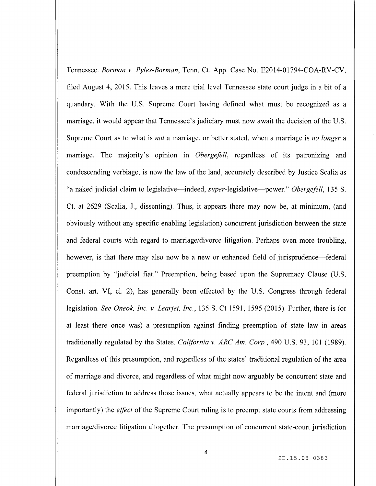Tennessee. Borman v. Pyles-Borman, Tenn. Ct. App. Case No. E2014-01794-COA-RV-CV, filed August 4, 2015. This leaves <sup>a</sup> mere trial level Tennessee state court judge in <sup>a</sup> bit of <sup>a</sup> quandary. With the U.S. Supreme Court having defined what must be recognized as <sup>a</sup> marriage, it would appear that Tennessee's judiciary must now await the decision of the U.S. Supreme Court as to what is *not* a marriage, or better stated, when a marriage is *no longer* a marriage. The majority's opinion in *Obergefell*, regardless of its patronizing and condescending verbiage, is now the law of the land, accurately described by Justice Scalia as "a naked judicial claim to legislative—indeed, *super*-legislative—power." Obergefell, 135 S. Ct. at 2629 ( Scalia, J., dissenting). Thus, it appears there may now be, at minimum, ( and obviously without any specific enabling legislation) concurrent jurisdiction between the state and federal courts with regard to marriage/divorce litigation. Perhaps even more troubling, however, is that there may also now be <sup>a</sup> new or enhanced field of jurisprudence— federal preemption by "judicial fiat." Preemption, being based upon the Supremacy Clause (U.S. Const. art. VI, cl. 2), has generally been effected by the U.S. Congress through federal legislation. See Oneok, Inc. v. Learjet, Inc., 135 S. Ct 1591, 1595 (2015). Further, there is (or at least there once was) a presumption against finding preemption of state law in areas traditionally regulated by the States. California v. ARC Am. Corp., 490 U.S. 93, 101 (1989). Regardless of this presumption, and regardless of the states' traditional regulation of the area of marriage and divorce, and regardless of what might now arguably be concurrent state and federal jurisdiction to address those issues, what actually appears to be the intent and ( more importantly) the *effect* of the Supreme Court ruling is to preempt state courts from addressing marriage/divorce litigation altogether. The presumption of concurrent state-court jurisdiction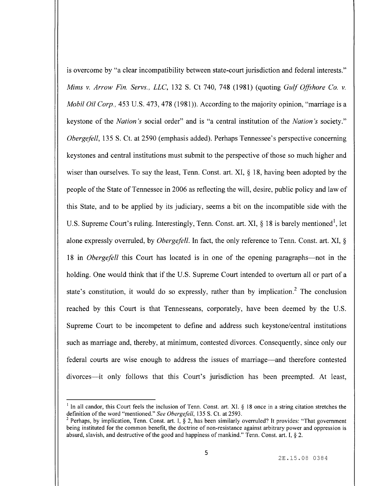is overcome by "a clear incompatibility between state-court jurisdiction and federal interests." Mims v. Arrow Fin. Servs., LLC, 132 S. Ct 740, 748 (1981) (quoting Gulf Offshore Co. v. Mobil Oil Corp., 453 U.S. 473, 478 (1981)). According to the majority opinion, "marriage is a keystone of the *Nation's* social order" and is "a central institution of the *Nation's* society." Obergefell, 135 S. Ct. at 2590 (emphasis added). Perhaps Tennessee's perspective concerning keystones and central institutions must submit to the perspective of those so much higher and wiser than ourselves. To say the least, Tenn. Const. art. XI, § 18, having been adopted by the people of the State of Tennessee in 2006 as reflecting the will, desire, public policy and law of this State, and to be applied by its judiciary, seems a bit on the incompatible side with the U.S. Supreme Court's ruling. Interestingly, Tenn. Const. art. XI, § 18 is barely mentioned<sup>1</sup>, let alone expressly overruled, by Obergefell. In fact, the only reference to Tenn. Const. art. XI, § 18 in *Obergefell* this Court has located is in one of the opening paragraphs—not in the holding. One would think that if the U.S. Supreme Court intended to overturn all or part of <sup>a</sup> state's constitution, it would do so expressly, rather than by implication.<sup>2</sup> The conclusion reached by this Court is that Tennesseans, corporately, have been deemed by the U.S. Supreme Court to be incompetent to define and address such keystone/ central institutions such as marriage and, thereby, at minimum, contested divorces. Consequently, since only our federal courts are wise enough to address the issues of marriage— and therefore contested divorces—it only follows that this Court's jurisdiction has been preempted. At least,

<sup>&</sup>lt;sup>1</sup> In all candor, this Court feels the inclusion of Tenn. Const. art. XI.  $\S$  18 once in a string citation stretches the definition of the word "mentioned." See Obergefell, 135 S. Ct. at 2593.

<sup>&</sup>lt;sup>2</sup> Perhaps, by implication, Tenn. Const. art. I,  $\S$  2, has been similarly overruled? It provides: "That government being instituted for the common benefit, the doctrine of non-resistance against arbitrary power and oppression is absurd, slavish, and destructive of the good and happiness of mankind." Tenn. Const. art. I, § 2.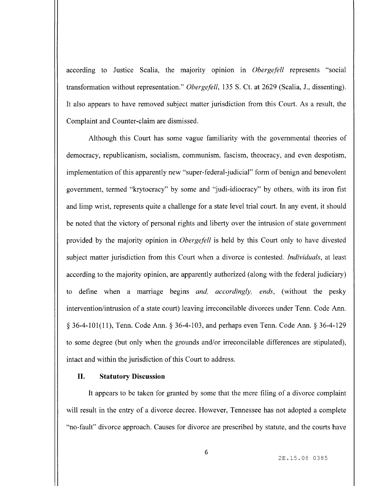according to Justice Scalia, the majority opinion in *Obergefell* represents "social transformation without representation." Obergefell, 135 S. Ct. at 2629 (Scalia, J., dissenting). It also appears to have removed subject matter jurisdiction from this Court. As <sup>a</sup> result, the Complaint and Counter -claim are dismissed.

Although this Court has some vague familiarity with the governmental theories of democracy, republicanism, socialism, communism, fascism, theocracy, and even despotism, implementation of this apparently new "super-federal-judicial" form of benign and benevolent government, termed "krytocracy" by some and "judi-idiocracy" by others, with its iron fist and limp wrist, represents quite <sup>a</sup> challenge for a state level trial court. In any event, it should be noted that the victory of personal rights and liberty over the intrusion of state government provided by the majority opinion in Obergefell is held by this Court only to have divested subject matter jurisdiction from this Court when a divorce is contested. *Individuals*, at least according to the majority opinion, are apparently authorized (along with the federal judiciary) to define when a marriage begins *and, accordingly, ends*, (without the pesky intervention/intrusion of a state court) leaving irreconcilable divorces under Tenn. Code Ann. § 36-4-101(11), Tenn. Code Ann. § 36-4-103, and perhaps even Tenn. Code Ann. § 36-4-129 to some degree (but only when the grounds and/or irreconcilable differences are stipulated), intact and within the jurisdiction of this Court to address.

### II. Statutory Discussion

It appears to be taken for granted by some that the mere filing of a divorce complaint will result in the entry of a divorce decree. However, Tennessee has not adopted a complete no- fault" divorce approach. Causes for divorce are prescribed by statute, and the courts have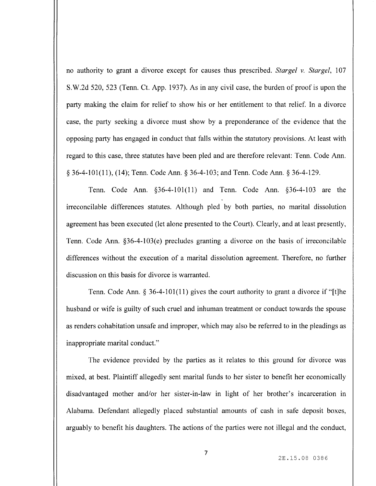no authority to grant a divorce except for causes thus prescribed. Stargel v. Stargel, 107 S. W.2d 520, 523 ( Tenn. Ct. App. 1937). As in any civil case, the burden of proof is upon the party making the claim for relief to show his or her entitlement to that relief. In a divorce case, the party seeking a divorce must show by <sup>a</sup> preponderance of the evidence that the opposing party has engaged in conduct that falls within the statutory provisions. At least with regard to this case, three statutes have been pled and are therefore relevant: Tenn. Code Ann. 36- 4- 101( 11), ( 14); Tenn. Code Ann. § 36- 4- 103; and Tenn. Code Ann. § 36- 4- 129.

Tenn. Code Ann. § 36-4-101(11) and Tenn. Code Ann. § 36-4-103 are the irreconcilable differences statutes. Although pled by both parties, no marital dissolution agreement has been executed (let alone presented to the Court). Clearly, and at least presently, Tenn. Code Ann.  $§36-4-103(e)$  precludes granting a divorce on the basis of irreconcilable differences without the execution of a marital dissolution agreement. Therefore, no further discussion on this basis for divorce is warranted.

Tenn. Code Ann.  $\S$  36-4-101(11) gives the court authority to grant a divorce if "[t]he husband or wife is guilty of such cruel and inhuman treatment or conduct towards the spouse as renders cohabitation unsafe and improper, which may also be referred to in the pleadings as inappropriate marital conduct."

The evidence provided by the parties as it relates to this ground for divorce was mixed, at best. Plaintiff allegedly sent marital funds to her sister to benefit her economically disadvantaged mother and/or her sister-in-law in light of her brother's incarceration in Alabama. Defendant allegedly placed substantial amounts of cash in safe deposit boxes, arguably to benefit his daughters. The actions of the parties were not illegal and the conduct,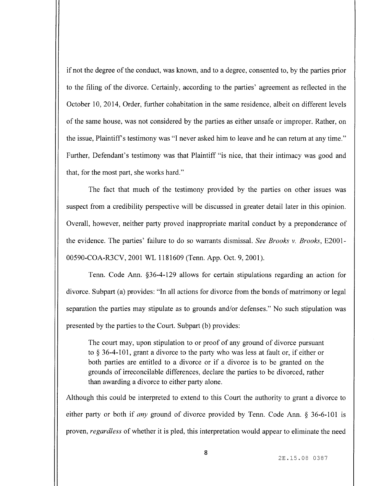if not the degree of the conduct, was known, and to <sup>a</sup> degree, consented to, by the parties prior to the filing of the divorce. Certainly, according to the parties' agreement as reflected in the October 10, 2014, Order, further cohabitation in the same residence, albeit on different levels of the same house, was not considered by the parties as either unsafe or improper. Rather, on the issue, Plaintiff's testimony was "I never asked him to leave and he can return at any time." Further, Defendant's testimony was that Plaintiff "is nice, that their intimacy was good and that, for the most part, she works hard."

The fact that much of the testimony provided by the parties on other issues was suspect from <sup>a</sup> credibility perspective will be discussed in greater detail later in this opinion. Overall, however, neither party proved inappropriate marital conduct by <sup>a</sup> preponderance of the evidence. The parties' failure to do so warrants dismissal. See Brooks v. Brooks, E2001- 00590-COA-R3CV, 2001 WL 1181609 (Tenn. App. Oct. 9, 2001).

Tenn. Code Ann. § 36-4-129 allows for certain stipulations regarding an action for divorce. Subpart (a) provides: "In all actions for divorce from the bonds of matrimony or legal separation the parties may stipulate as to grounds and/or defenses." No such stipulation was presented by the parties to the Court. Subpart (b) provides:

The court may, upon stipulation to or proof of any ground of divorce pursuant to  $\S$  36-4-101, grant a divorce to the party who was less at fault or, if either or both parties are entitled to <sup>a</sup> divorce or if <sup>a</sup> divorce is to be granted on the grounds of irreconcilable differences, declare the parties to be divorced, rather than awarding a divorce to either party alone.

Although this could be interpreted to extend to this Court the authority to grant a divorce to either party or both if any ground of divorce provided by Tenn. Code Ann.  $\S$  36-6-101 is proven, regardless of whether it is pled, this interpretation would appear to eliminate the need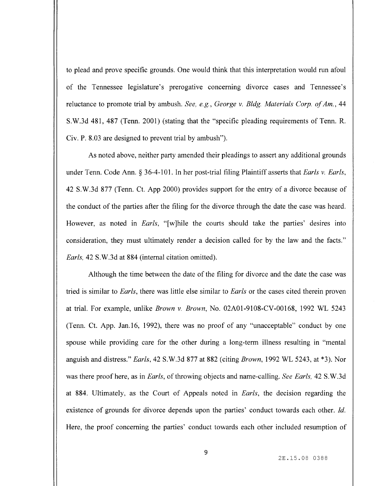to plead and prove specific grounds. One would think that this interpretation would run afoul of the Tennessee legislature's prerogative concerning divorce cases and Tennessee's reluctance to promote trial by ambush. See, e.g., George v. Bldg. Materials Corp. of Am., 44 S. W.3d 481, 487 ( Tenn. 2001) ( stating that the " specific pleading requirements of Tenn. R. Civ. P. 8. 03 are designed to prevent trial by ambush").

As noted above, neither party amended their pleadings to assert any additional grounds under Tenn. Code Ann. § 36-4-101. In her post-trial filing Plaintiff asserts that Earls v. Earls, 42 S. W.3d 877 ( Tenn. Ct. App 2000) provides support for the entry of <sup>a</sup> divorce because of the conduct of the parties after the filing for the divorce through the date the case was heard. However, as noted in *Earls*, "[w]hile the courts should take the parties' desires into consideration, they must ultimately render a decision called for by the law and the facts." Earls, 42 S. W.3d at 884 ( internal citation omitted).

Although the time between the date of the filing for divorce and the date the case was tried is similar to Earls, there was little else similar to Earls or the cases cited therein proven at trial. For example, unlike Brown v. Brown, No. 02A01 -9108 -CV -00168, 1992 WL 5243 Tenn. Ct. App. Jan. 16, 1992), there was no proof of any " unacceptable" conduct by one spouse while providing care for the other during <sup>a</sup> long-term illness resulting in " mental anguish and distress." Earls, 42 S.W.3d 877 at 882 (citing Brown, 1992 WL 5243, at \*3). Nor was there proof here, as in *Earls*, of throwing objects and name-calling. See Earls, 42 S.W.3d at 884. Ultimately, as the Court of Appeals noted in Earls, the decision regarding the existence of grounds for divorce depends upon the parties' conduct towards each other. Id. Here, the proof concerning the parties' conduct towards each other included resumption of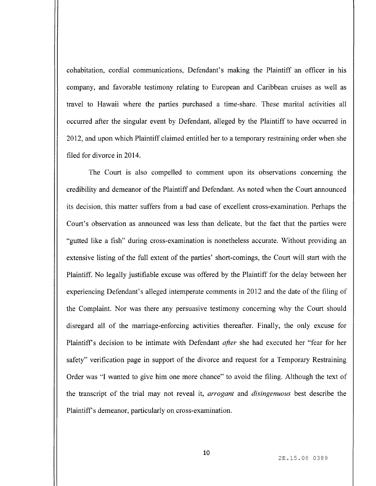cohabitation, cordial communications, Defendant's making the Plaintiff an officer in his company, and favorable testimony relating to European and Caribbean cruises as well as travel to Hawaii where the parties purchased a time- share. These marital activities all occurred after the singular event by Defendant, alleged by the Plaintiff to have occurred in 2012, and upon which Plaintiff claimed entitled her to a temporary restraining order when she filed for divorce in 2014.

The Court is also compelled to comment upon its observations concerning the credibility and demeanor of the Plaintiff and Defendant. As noted when the Court announced its decision, this matter suffers from <sup>a</sup> bad case of excellent cross- examination. Perhaps the Court's observation as announced was less than delicate, but the fact that the parties were "gutted like a fish" during cross-examination is nonetheless accurate. Without providing an extensive listing of the full extent of the parties' short -comings, the Court will start with the Plaintiff. No legally justifiable excuse was offered by the Plaintiff for the delay between her experiencing Defendant's alleged intemperate comments in 2012 and the date of the filing of the Complaint. Nor was there any persuasive testimony concerning why the Court should disregard all of the marriage -enforcing activities thereafter. Finally, the only excuse for Plaintiff's decision to be intimate with Defendant *after* she had executed her "fear for her safety" verification page in support of the divorce and request for a Temporary Restraining Order was "I wanted to give him one more chance" to avoid the filing. Although the text of the transcript of the trial may not reveal it, arrogant and disingenuous best describe the Plaintiff's demeanor, particularly on cross-examination.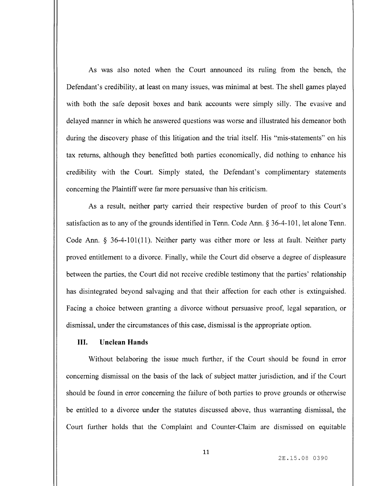As was also noted when the Court announced its ruling from the bench, the Defendant's credibility, at least on many issues, was minimal at best. The shell games played with both the safe deposit boxes and bank accounts were simply silly. The evasive and delayed manner in which he answered questions was worse and illustrated his demeanor both during the discovery phase of this litigation and the trial itself. His "mis-statements" on his tax returns, although they benefitted both parties economically, did nothing to enhance his credibility with the Court. Simply stated, the Defendant's complimentary statements concerning the Plaintiff were far more persuasive than his criticism.

As a result, neither party carried their respective burden of proof to this Court's satisfaction as to any of the grounds identified in Tenn. Code Ann. § 36-4-101, let alone Tenn. Code Ann. § 36-4-101(11). Neither party was either more or less at fault. Neither party proved entitlement to <sup>a</sup> divorce. Finally, while the Court did observe <sup>a</sup> degree of displeasure between the parties, the Court did not receive credible testimony that the parties' relationship has disintegrated beyond salvaging and that their affection for each other is extinguished. Facing a choice between granting <sup>a</sup> divorce without persuasive proof, legal separation, or dismissal, under the circumstances of this case, dismissal is the appropriate option.

### III. Unclean Hands

Without belaboring the issue much further, if the Court should be found in error concerning dismissal on the basis of the lack of subject matter jurisdiction, and if the Court should be found in error concerning the failure of both parties to prove grounds or otherwise be entitled to a divorce under the statutes discussed above, thus warranting dismissal, the Court further holds that the Complaint and Counter -Claim are dismissed on equitable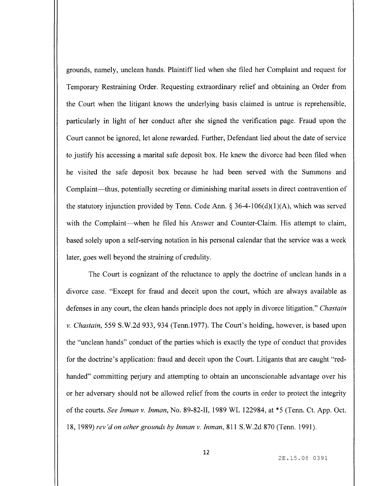grounds, namely, unclean hands. Plaintiff lied when she filed her Complaint and request for Temporary Restraining Order. Requesting extraordinary relief and obtaining an Order from the Court when the litigant knows the underlying basis claimed is untrue is reprehensible, particularly in light of her conduct after she signed the verification page. Fraud upon the Court cannot be ignored, let alone rewarded. Further, Defendant lied about the date of service to justify his accessing a marital safe deposit box. He knew the divorce had been filed when he visited the safe deposit box because he had been served with the Summons and Complaint—thus, potentially secreting or diminishing marital assets in direct contravention of the statutory injunction provided by Tenn. Code Ann.  $\S$  36-4-106(d)(1)(A), which was served with the Complaint—when he filed his Answer and Counter-Claim. His attempt to claim, based solely upon a self-serving notation in his personal calendar that the service was a week later, goes well beyond the straining of credulity.

The Court is cognizant of the reluctance to apply the doctrine of unclean hands in a divorce case. "Except for fraud and deceit upon the court, which are always available as defenses in any court, the clean hands principle does not apply in divorce litigation." Chastain v. Chastain, 559 S. W.2d 933, 934 ( Tenn. 1977). The Court' <sup>s</sup> holding, however, is based upon the " unclean hands" conduct of the parties which is exactly the type of conduct that provides for the doctrine's application: fraud and deceit upon the Court. Litigants that are caught "redhanded" committing perjury and attempting to obtain an unconscionable advantage over his or her adversary should not be allowed relief from the courts in order to protect the integrity of the courts. See Inman v. Inman, No. 89-82-II, 1989 WL 122984, at \*5 (Tenn. Ct. App. Oct. 18, 1989) rev' d on other grounds by Inman v. Inman, 811 S. W.2d 870 (Tenn. 1991).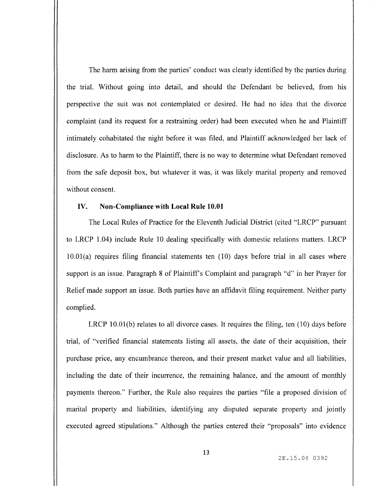The harm arising from the parties' conduct was clearly identified by the parties during the trial. Without going into detail, and should the Defendant be believed, from his perspective the suit was not contemplated or desired. He had no idea that the divorce complaint ( and its request for <sup>a</sup> restraining order) had been executed when he and Plaintiff intimately cohabitated the night before it was filed, and Plaintiff acknowledged her lack of disclosure. As to harm to the Plaintiff, there is no way to determine what Defendant removed from the safe deposit box, but whatever it was, it was likely marital property and removed without consent.

## IV. Non-Compliance with Local Rule 10.01

The Local Rules of Practice for the Eleventh Judicial District (cited "LRCP" pursuant to LRCP 1.04) include Rule 10 dealing specifically with domestic relations matters. LRCP  $10.01(a)$  requires filing financial statements ten  $(10)$  days before trial in all cases where support is an issue. Paragraph 8 of Plaintiff's Complaint and paragraph "d" in her Prayer for Relief made support an issue. Both parties have an affidavit filing requirement. Neither party complied.

LRCP 10.01(b) relates to all divorce cases. It requires the filing, ten  $(10)$  days before trial, of " verified financial statements listing all assets, the date of their acquisition, their purchase price, any encumbrance thereon, and their present market value and all liabilities, including the date of their incurrence, the remaining balance, and the amount of monthly payments thereon." Further, the Rule also requires the parties " file a proposed division of marital property and liabilities, identifying any disputed separate property and jointly executed agreed stipulations." Although the parties entered their "proposals" into evidence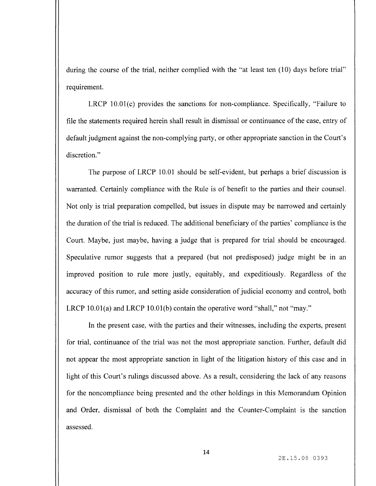during the course of the trial, neither complied with the "at least ten (10) days before trial" requirement.

LRCP  $10.01(c)$  provides the sanctions for non-compliance. Specifically, "Failure to file the statements required herein shall result in dismissal or continuance of the case, entry of default judgment against the non-complying party, or other appropriate sanction in the Court's discretion."

The purpose of LRCP 10.01 should be self-evident, but perhaps a brief discussion is warranted. Certainly compliance with the Rule is of benefit to the parties and their counsel. Not only is trial preparation compelled, but issues in dispute may be narrowed and certainly the duration of the trial is reduced. The additional beneficiary of the parties' compliance is the Court. Maybe, just maybe, having a judge that is prepared for trial should be encouraged. Speculative rumor suggests that a prepared ( but not predisposed) judge might be in an improved position to rule more justly, equitably, and expeditiously. Regardless of the accuracy of this rumor, and setting aside consideration of judicial economy and control, both LRCP  $10.01(a)$  and LRCP  $10.01(b)$  contain the operative word "shall," not "may."

In the present case, with the parties and their witnesses, including the experts, present for trial, continuance of the trial was not the most appropriate sanction. Further, default did not appear the most appropriate sanction in light of the litigation history of this case and in light of this Court's rulings discussed above. As a result, considering the lack of any reasons for the noncompliance being presented and the other holdings in this Memorandum Opinion and Order, dismissal of both the Complaint and the Counter -Complaint is the sanction assessed.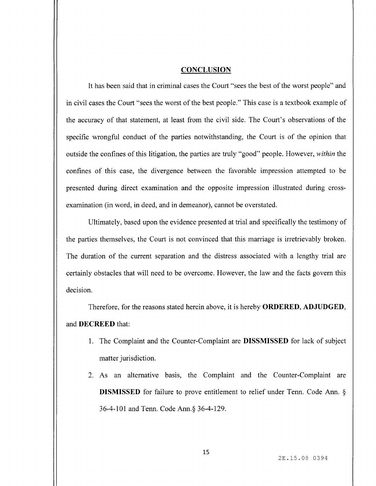## **CONCLUSION**

It has been said that in criminal cases the Court " sees the best of the worst people" and in civil cases the Court " sees the worst of the best people." This case is <sup>a</sup> textbook example of the accuracy of that statement, at least from the civil side. The Court's observations of the specific wrongful conduct of the parties notwithstanding, the Court is of the opinion that outside the confines of this litigation, the parties are truly " good" people. However, within the confines of this case, the divergence between the favorable impression attempted to be presented during direct examination and the opposite impression illustrated during crossexamination (in word, in deed, and in demeanor), cannot be overstated.

Ultimately, based upon the evidence presented at trial and specifically the testimony of the parties themselves, the Court is not convinced that this marriage is irretrievably broken. The duration of the current separation and the distress associated with <sup>a</sup> lengthy trial are certainly obstacles that will need to be overcome. However, the law and the facts govern this decision.

Therefore, for the reasons stated herein above, it is hereby ORDERED, ADJUDGED, and DECREED that:

- 1. The Complaint and the Counter -Complaint are DISSMISSED for lack of subject matter jurisdiction.
- 2. As an alternative basis, the Complaint and the Counter -Complaint are DISMISSED for failure to prove entitlement to relief under Tenn. Code Ann. § 36-4-101 and Tenn. Code Ann. § 36-4-129.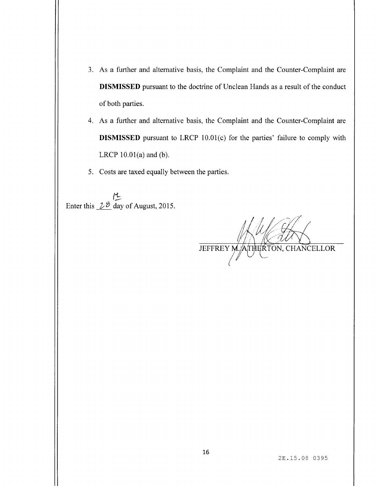- 3. As a further and alternative basis, the Complaint and the Counter -Complaint are DISMISSED pursuant to the doctrine of Unclean Hands as <sup>a</sup> result of the conduct of both parties.
- 4. As a further and alternative basis, the Complaint and the Counter -Complaint are DISMISSED pursuant to LRCP 10.01(c) for the parties' failure to comply with LRCP  $10.01(a)$  and  $(b)$ .
- 5. Costs are taxed equally between the parties.

Enter this  $\frac{\mu}{\sigma}$  day of August, 2015.

JEFFREY M. ATHERTON, CHANCELLOR